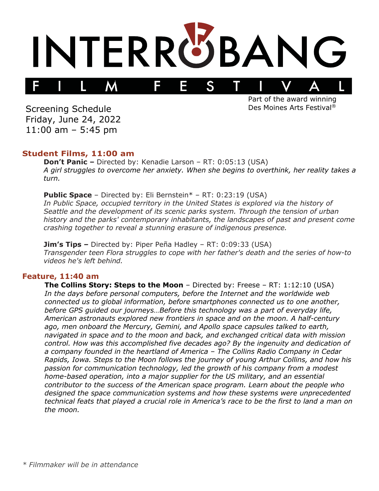

Screening Schedule Friday, June 24, 2022  $11:00$  am  $-5:45$  pm

Part of the award winning Des Moines Arts Festival®

# **Student Films, 11:00 am**

**Don't Panic –** Directed by: Kenadie Larson – RT: 0:05:13 (USA) *A girl struggles to overcome her anxiety. When she begins to overthink, her reality takes a turn.*

**Public Space** – Directed by: Eli Bernstein\* – RT: 0:23:19 (USA) *In Public Space, occupied territory in the United States is explored via the history of Seattle and the development of its scenic parks system. Through the tension of urban history and the parks' contemporary inhabitants, the landscapes of past and present come crashing together to reveal a stunning erasure of indigenous presence.*

**Jim's Tips –** Directed by: Piper Peña Hadley – RT: 0:09:33 (USA) *Transgender teen Flora struggles to cope with her father's death and the series of how-to videos he's left behind.*

## **Feature, 11:40 am**

**The Collins Story: Steps to the Moon** – Directed by: Freese – RT: 1:12:10 (USA) In the days before personal computers, before the Internet and the worldwide web *connected us to global information, before smartphones connected us to one another, before GPS guided our journeys…Before this technology was a part of everyday life, American astronauts explored new frontiers in space and on the moon. A half-century ago, men onboard the Mercury, Gemini, and Apollo space capsules talked to earth, navigated in space and to the moon and back, and exchanged critical data with mission control. How was this accomplished five decades ago? By the ingenuity and dedication of a company founded in the heartland of America – The Collins Radio Company in Cedar Rapids, Iowa. Steps to the Moon follows the journey of young Arthur Collins, and how his passion for communication technology, led the growth of his company from a modest home-based operation, into a major supplier for the US military, and an essential contributor to the success of the American space program. Learn about the people who designed the space communication systems and how these systems were unprecedented technical feats that played a crucial role in America's race to be the first to land a man on the moon.*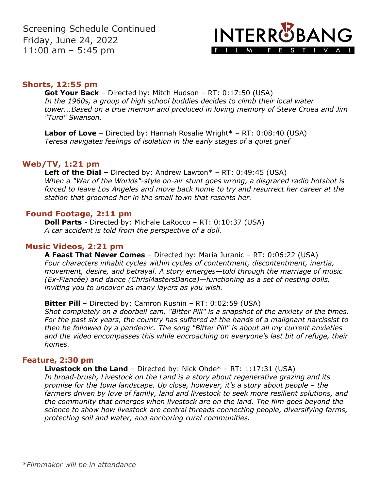Screening Schedule Continued Friday, June 24, 2022  $11:00$  am  $-5:45$  pm

# **INTERROBANG** FILM FESTIVAL

## **Shorts, 12:55 pm**

**Got Your Back** – Directed by: Mitch Hudson – RT: 0:17:50 (USA) *In the 1960s, a group of high school buddies decides to climb their local water tower...Based on a true memoir and produced in loving memory of Steve Cruea and Jim "Turd" Swanson.*

**Labor of Love** - Directed by: Hannah Rosalie Wright\* - RT: 0:08:40 (USA) *Teresa navigates feelings of isolation in the early stages of a quiet grief*

## **Web/TV, 1:21 pm**

**Left of the Dial –** Directed by: Andrew Lawton\* – RT: 0:49:45 (USA) *When a "War of the Worlds"-style on-air stunt goes wrong, a disgraced radio hotshot is forced to leave Los Angeles and move back home to try and resurrect her career at the station that groomed her in the small town that resents her.* 

## **Found Footage, 2:11 pm**

**Doll Parts** - Directed by: Michale LaRocco – RT: 0:10:37 (USA) *A car accident is told from the perspective of a doll.*

### **Music Videos, 2:21 pm**

**A Feast That Never Comes** – Directed by: Maria Juranic – RT: 0:06:22 (USA) *Four characters inhabit cycles within cycles of contentment, discontentment, inertia, movement, desire, and betrayal. A story emerges—told through the marriage of music (Ex-Fiancée) and dance (ChrisMastersDance)—functioning as a set of nesting dolls, inviting you to uncover as many layers as you wish.*

**Bitter Pill** – Directed by: Camron Rushin – RT: 0:02:59 (USA)

*Shot completely on a doorbell cam, "Bitter Pill" is a snapshot of the anxiety of the times. For the past six years, the country has suffered at the hands of a malignant narcissist to then be followed by a pandemic. The song "Bitter Pill" is about all my current anxieties and the video encompasses this while encroaching on everyone's last bit of refuge, their homes.*

#### **Feature, 2:30 pm**

**Livestock on the Land** – Directed by: Nick Ohde\* – RT: 1:17:31 (USA)

*In broad-brush, Livestock on the Land is a story about regenerative grazing and its promise for the Iowa landscape. Up close, however, it's a story about people – the farmers driven by love of family, land and livestock to seek more resilient solutions, and the community that emerges when livestock are on the land. The film goes beyond the science to show how livestock are central threads connecting people, diversifying farms, protecting soil and water, and anchoring rural communities.*